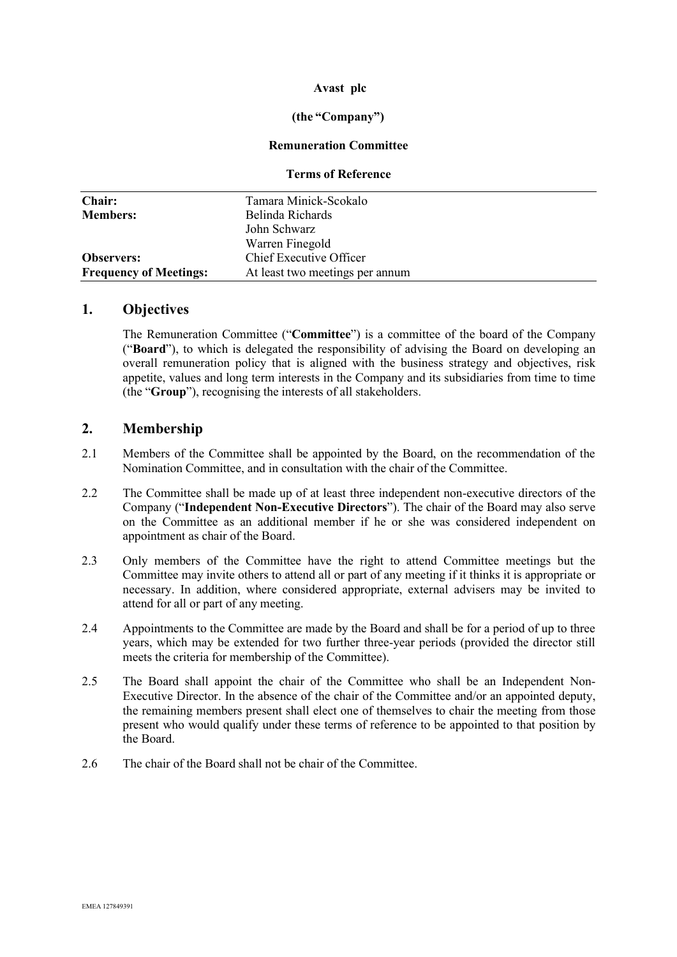## **Avast plc**

## **(the "Company")**

#### **Remuneration Committee**

#### **Terms of Reference**

| Chair:                        | Tamara Minick-Scokalo           |
|-------------------------------|---------------------------------|
| <b>Members:</b>               | Belinda Richards                |
|                               | John Schwarz                    |
|                               | Warren Finegold                 |
| <b>Observers:</b>             | Chief Executive Officer         |
| <b>Frequency of Meetings:</b> | At least two meetings per annum |

## **1. Objectives**

The Remuneration Committee ("**Committee**") is a committee of the board of the Company ("**Board**"), to which is delegated the responsibility of advising the Board on developing an overall remuneration policy that is aligned with the business strategy and objectives, risk appetite, values and long term interests in the Company and its subsidiaries from time to time (the "**Group**"), recognising the interests of all stakeholders.

## **2. Membership**

- 2.1 Members of the Committee shall be appointed by the Board, on the recommendation of the Nomination Committee, and in consultation with the chair of the Committee.
- 2.2 The Committee shall be made up of at least three independent non-executive directors of the Company ("**Independent Non-Executive Directors**"). The chair of the Board may also serve on the Committee as an additional member if he or she was considered independent on appointment as chair of the Board.
- 2.3 Only members of the Committee have the right to attend Committee meetings but the Committee may invite others to attend all or part of any meeting if it thinks it is appropriate or necessary. In addition, where considered appropriate, external advisers may be invited to attend for all or part of any meeting.
- 2.4 Appointments to the Committee are made by the Board and shall be for a period of up to three years, which may be extended for two further three-year periods (provided the director still meets the criteria for membership of the Committee).
- 2.5 The Board shall appoint the chair of the Committee who shall be an Independent Non-Executive Director. In the absence of the chair of the Committee and/or an appointed deputy, the remaining members present shall elect one of themselves to chair the meeting from those present who would qualify under these terms of reference to be appointed to that position by the Board.
- 2.6 The chair of the Board shall not be chair of the Committee.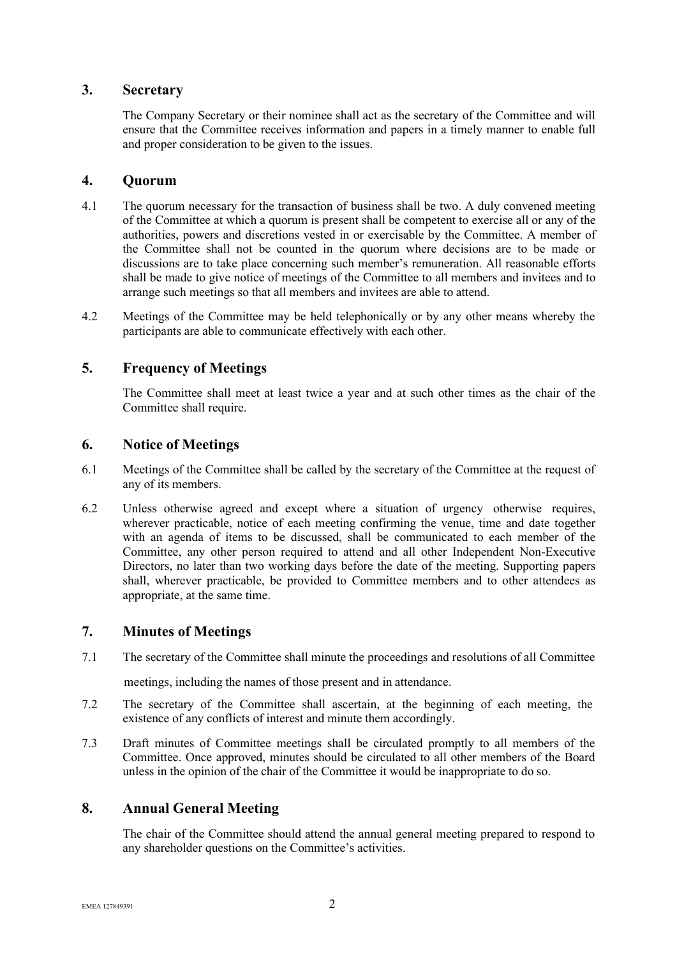## **3. Secretary**

The Company Secretary or their nominee shall act as the secretary of the Committee and will ensure that the Committee receives information and papers in a timely manner to enable full and proper consideration to be given to the issues.

## **4. Quorum**

- 4.1 The quorum necessary for the transaction of business shall be two. A duly convened meeting of the Committee at which a quorum is present shall be competent to exercise all or any of the authorities, powers and discretions vested in or exercisable by the Committee. A member of the Committee shall not be counted in the quorum where decisions are to be made or discussions are to take place concerning such member's remuneration. All reasonable efforts shall be made to give notice of meetings of the Committee to all members and invitees and to arrange such meetings so that all members and invitees are able to attend.
- 4.2 Meetings of the Committee may be held telephonically or by any other means whereby the participants are able to communicate effectively with each other.

# **5. Frequency of Meetings**

The Committee shall meet at least twice a year and at such other times as the chair of the Committee shall require.

## **6. Notice of Meetings**

- 6.1 Meetings of the Committee shall be called by the secretary of the Committee at the request of any of its members.
- 6.2 Unless otherwise agreed and except where a situation of urgency otherwise requires, wherever practicable, notice of each meeting confirming the venue, time and date together with an agenda of items to be discussed, shall be communicated to each member of the Committee, any other person required to attend and all other Independent Non-Executive Directors, no later than two working days before the date of the meeting. Supporting papers shall, wherever practicable, be provided to Committee members and to other attendees as appropriate, at the same time.

# **7. Minutes of Meetings**

7.1 The secretary of the Committee shall minute the proceedings and resolutions of all Committee

meetings, including the names of those present and in attendance.

- 7.2 The secretary of the Committee shall ascertain, at the beginning of each meeting, the existence of any conflicts of interest and minute them accordingly.
- 7.3 Draft minutes of Committee meetings shall be circulated promptly to all members of the Committee. Once approved, minutes should be circulated to all other members of the Board unless in the opinion of the chair of the Committee it would be inappropriate to do so.

# **8. Annual General Meeting**

The chair of the Committee should attend the annual general meeting prepared to respond to any shareholder questions on the Committee's activities.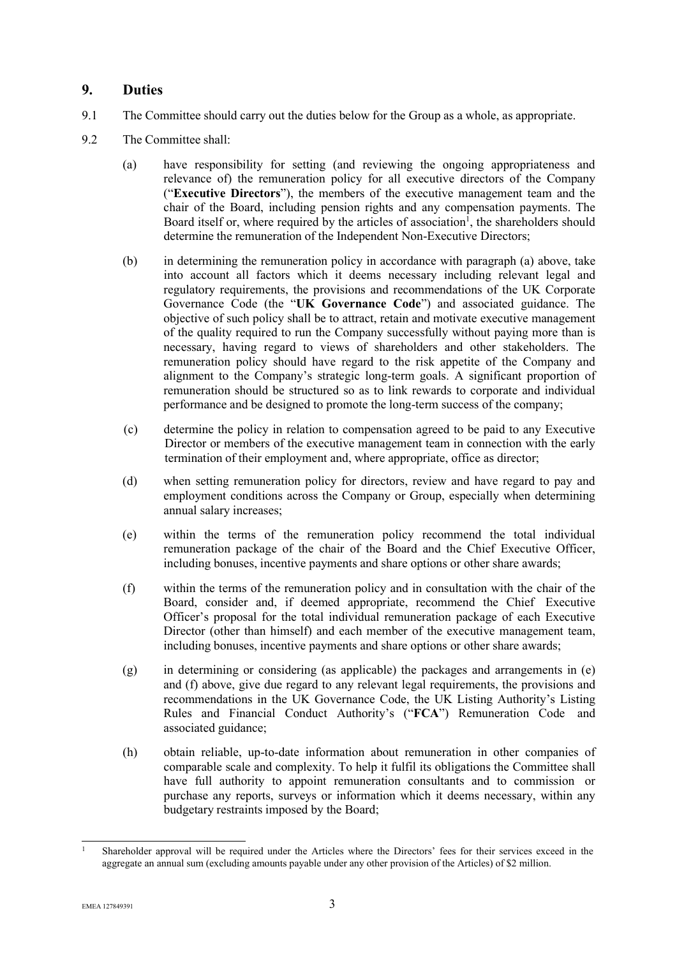## **9. Duties**

- 9.1 The Committee should carry out the duties below for the Group as a whole, as appropriate.
- 9.2 The Committee shall:
	- (a) have responsibility for setting (and reviewing the ongoing appropriateness and relevance of) the remuneration policy for all executive directors of the Company ("**Executive Directors**"), the members of the executive management team and the chair of the Board, including pension rights and any compensation payments. The Board itself or, where required by the articles of association<sup>1</sup>, the shareholders should determine the remuneration of the Independent Non-Executive Directors;
	- (b) in determining the remuneration policy in accordance with paragraph (a) above, take into account all factors which it deems necessary including relevant legal and regulatory requirements, the provisions and recommendations of the UK Corporate Governance Code (the "**UK Governance Code**") and associated guidance. The objective of such policy shall be to attract, retain and motivate executive management of the quality required to run the Company successfully without paying more than is necessary, having regard to views of shareholders and other stakeholders. The remuneration policy should have regard to the risk appetite of the Company and alignment to the Company's strategic long-term goals. A significant proportion of remuneration should be structured so as to link rewards to corporate and individual performance and be designed to promote the long-term success of the company;
	- (c) determine the policy in relation to compensation agreed to be paid to any Executive Director or members of the executive management team in connection with the early termination of their employment and, where appropriate, office as director;
	- (d) when setting remuneration policy for directors, review and have regard to pay and employment conditions across the Company or Group, especially when determining annual salary increases;
	- (e) within the terms of the remuneration policy recommend the total individual remuneration package of the chair of the Board and the Chief Executive Officer, including bonuses, incentive payments and share options or other share awards;
	- (f) within the terms of the remuneration policy and in consultation with the chair of the Board, consider and, if deemed appropriate, recommend the Chief Executive Officer's proposal for the total individual remuneration package of each Executive Director (other than himself) and each member of the executive management team, including bonuses, incentive payments and share options or other share awards;
	- (g) in determining or considering (as applicable) the packages and arrangements in (e) and (f) above, give due regard to any relevant legal requirements, the provisions and recommendations in the UK Governance Code, the UK Listing Authority's Listing Rules and Financial Conduct Authority's ("**FCA**") Remuneration Code and associated guidance;
	- (h) obtain reliable, up-to-date information about remuneration in other companies of comparable scale and complexity. To help it fulfil its obligations the Committee shall have full authority to appoint remuneration consultants and to commission or purchase any reports, surveys or information which it deems necessary, within any budgetary restraints imposed by the Board;

<sup>1</sup> Shareholder approval will be required under the Articles where the Directors' fees for their services exceed in the aggregate an annual sum (excluding amounts payable under any other provision of the Articles) of \$2 million.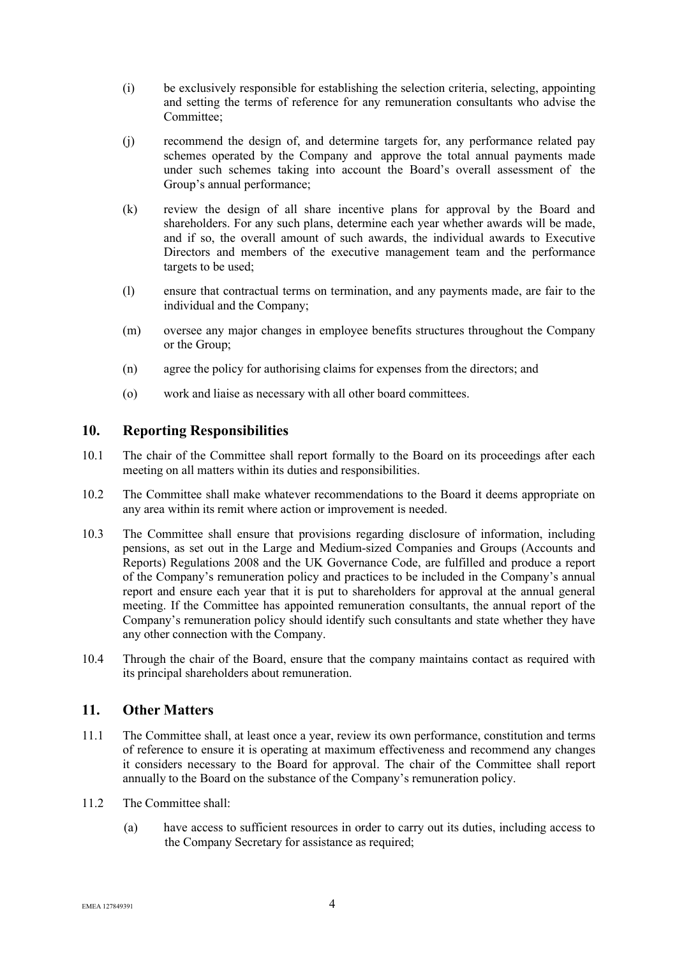- (i) be exclusively responsible for establishing the selection criteria, selecting, appointing and setting the terms of reference for any remuneration consultants who advise the Committee;
- (j) recommend the design of, and determine targets for, any performance related pay schemes operated by the Company and approve the total annual payments made under such schemes taking into account the Board's overall assessment of the Group's annual performance;
- (k) review the design of all share incentive plans for approval by the Board and shareholders. For any such plans, determine each year whether awards will be made, and if so, the overall amount of such awards, the individual awards to Executive Directors and members of the executive management team and the performance targets to be used;
- (l) ensure that contractual terms on termination, and any payments made, are fair to the individual and the Company;
- (m) oversee any major changes in employee benefits structures throughout the Company or the Group;
- (n) agree the policy for authorising claims for expenses from the directors; and
- (o) work and liaise as necessary with all other board committees.

## **10. Reporting Responsibilities**

- 10.1 The chair of the Committee shall report formally to the Board on its proceedings after each meeting on all matters within its duties and responsibilities.
- 10.2 The Committee shall make whatever recommendations to the Board it deems appropriate on any area within its remit where action or improvement is needed.
- 10.3 The Committee shall ensure that provisions regarding disclosure of information, including pensions, as set out in the Large and Medium-sized Companies and Groups (Accounts and Reports) Regulations 2008 and the UK Governance Code, are fulfilled and produce a report of the Company's remuneration policy and practices to be included in the Company's annual report and ensure each year that it is put to shareholders for approval at the annual general meeting. If the Committee has appointed remuneration consultants, the annual report of the Company's remuneration policy should identify such consultants and state whether they have any other connection with the Company.
- 10.4 Through the chair of the Board, ensure that the company maintains contact as required with its principal shareholders about remuneration.

# **11. Other Matters**

- 11.1 The Committee shall, at least once a year, review its own performance, constitution and terms of reference to ensure it is operating at maximum effectiveness and recommend any changes it considers necessary to the Board for approval. The chair of the Committee shall report annually to the Board on the substance of the Company's remuneration policy.
- 11.2 The Committee shall:
	- (a) have access to sufficient resources in order to carry out its duties, including access to the Company Secretary for assistance as required;